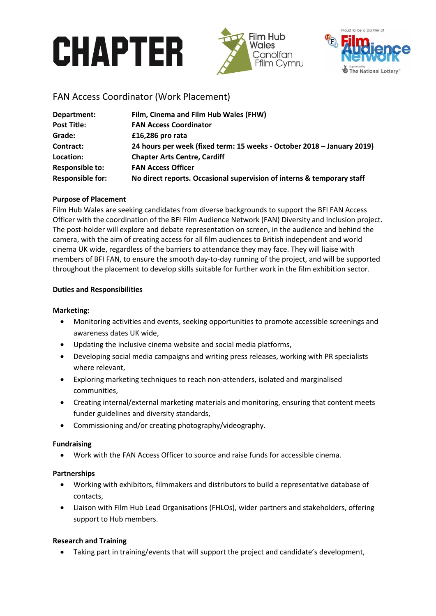# **CHAPTER**





# FAN Access Coordinator (Work Placement)

| Department:             | Film, Cinema and Film Hub Wales (FHW)                                  |
|-------------------------|------------------------------------------------------------------------|
| <b>Post Title:</b>      | <b>FAN Access Coordinator</b>                                          |
| Grade:                  | £16,286 pro rata                                                       |
| Contract:               | 24 hours per week (fixed term: 15 weeks - October 2018 - January 2019) |
| Location:               | <b>Chapter Arts Centre, Cardiff</b>                                    |
| <b>Responsible to:</b>  | <b>FAN Access Officer</b>                                              |
| <b>Responsible for:</b> | No direct reports. Occasional supervision of interns & temporary staff |

# **Purpose of Placement**

Film Hub Wales are seeking candidates from diverse backgrounds to support the BFI FAN Access Officer with the coordination of the BFI Film Audience Network (FAN) Diversity and Inclusion project. The post-holder will explore and debate representation on screen, in the audience and behind the camera, with the aim of creating access for all film audiences to British independent and world cinema UK wide, regardless of the barriers to attendance they may face. They will liaise with members of BFI FAN, to ensure the smooth day-to-day running of the project, and will be supported throughout the placement to develop skills suitable for further work in the film exhibition sector.

# **Duties and Responsibilities**

# **Marketing:**

- Monitoring activities and events, seeking opportunities to promote accessible screenings and awareness dates UK wide,
- Updating the inclusive cinema website and social media platforms,
- Developing social media campaigns and writing press releases, working with PR specialists where relevant,
- Exploring marketing techniques to reach non-attenders, isolated and marginalised communities,
- Creating internal/external marketing materials and monitoring, ensuring that content meets funder guidelines and diversity standards,
- Commissioning and/or creating photography/videography.

# **Fundraising**

Work with the FAN Access Officer to source and raise funds for accessible cinema.

# **Partnerships**

- Working with exhibitors, filmmakers and distributors to build a representative database of contacts,
- Liaison with Film Hub Lead Organisations (FHLOs), wider partners and stakeholders, offering support to Hub members.

# **Research and Training**

Taking part in training/events that will support the project and candidate's development,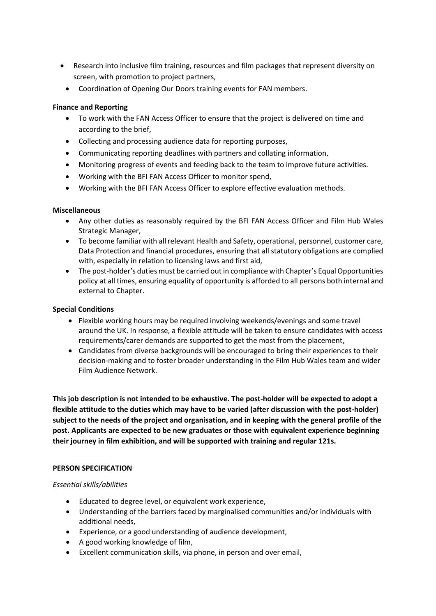- Research into inclusive film training, resources and film packages that represent diversity on screen, with promotion to project partners,
	- Coordination of Opening Our Doors training events for FAN members.

# **Finance and Reporting**

- To work with the FAN Access Officer to ensure that the project is delivered on time and according to the brief,
- Collecting and processing audience data for reporting purposes,
- Communicating reporting deadlines with partners and collating information,
- Monitoring progress of events and feeding back to the team to improve future activities.
- Working with the BFI FAN Access Officer to monitor spend,
- Working with the BFI FAN Access Officer to explore effective evaluation methods.

#### **Miscellaneous**

- Any other duties as reasonably required by the BFI FAN Access Officer and Film Hub Wales Strategic Manager,
- To become familiar with all relevant Health and Safety, operational, personnel, customer care, Data Protection and financial procedures, ensuring that all statutory obligations are complied with, especially in relation to licensing laws and first aid,
- The post-holder's duties must be carried out in compliance with Chapter's Equal Opportunities policy at all times, ensuring equality of opportunity is afforded to all persons both internal and external to Chapter.

#### **Special Conditions**

- Flexible working hours may be required involving weekends/evenings and some travel around the UK. In response, a flexible attitude will be taken to ensure candidates with access requirements/carer demands are supported to get the most from the placement,
- Candidates from diverse backgrounds will be encouraged to bring their experiences to their decision-making and to foster broader understanding in the Film Hub Wales team and wider Film Audience Network.

**This job description is not intended to be exhaustive. The post-holder will be expected to adopt a flexible attitude to the duties which may have to be varied (after discussion with the post-holder) subject to the needs of the project and organisation, and in keeping with the general profile of the post. Applicants are expected to be new graduates or those with equivalent experience beginning their journey in film exhibition, and will be supported with training and regular 121s.** 

#### **PERSON SPECIFICATION**

#### *Essential skills/abilities*

- Educated to degree level, or equivalent work experience,
- Understanding of the barriers faced by marginalised communities and/or individuals with additional needs,
- Experience, or a good understanding of audience development,
- A good working knowledge of film,
- Excellent communication skills, via phone, in person and over email,